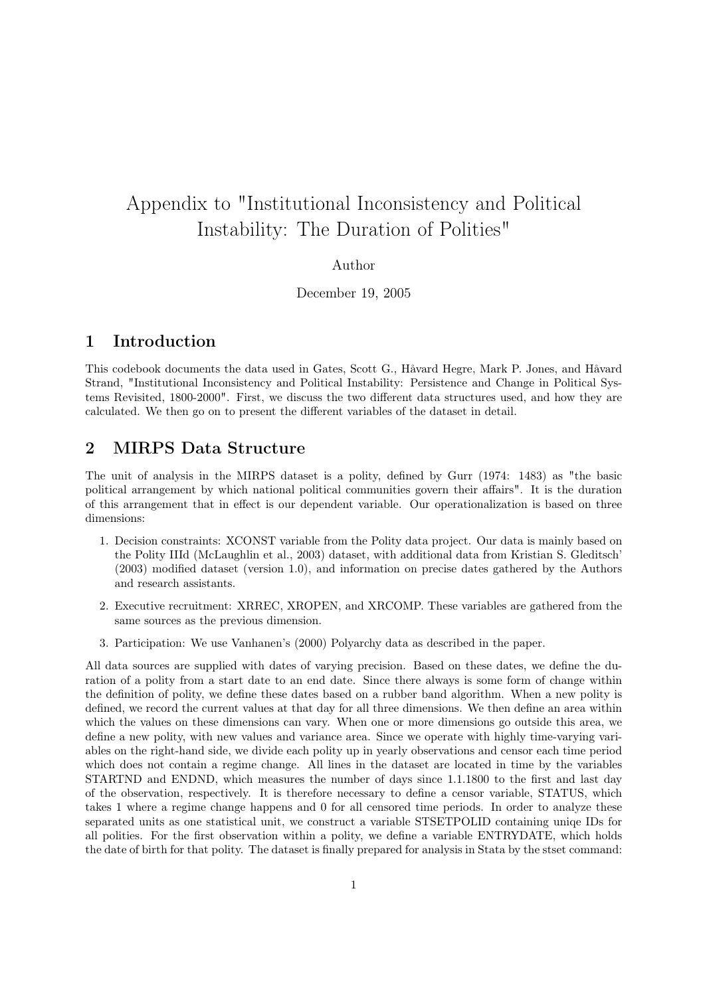# Appendix to "Institutional Inconsistency and Political Instability: The Duration of Polities"

#### Author

December 19, 2005

## 1 Introduction

This codebook documents the data used in Gates, Scott G., Håvard Hegre, Mark P. Jones, and Håvard Strand, "Institutional Inconsistency and Political Instability: Persistence and Change in Political Systems Revisited, 1800-2000". First, we discuss the two different data structures used, and how they are calculated. We then go on to present the different variables of the dataset in detail.

## 2 MIRPS Data Structure

The unit of analysis in the MIRPS dataset is a polity, defined by Gurr (1974: 1483) as "the basic political arrangement by which national political communities govern their affairs". It is the duration of this arrangement that in effect is our dependent variable. Our operationalization is based on three dimensions:

- 1. Decision constraints: XCONST variable from the Polity data project. Our data is mainly based on the Polity IIId (McLaughlin et al., 2003) dataset, with additional data from Kristian S. Gleditsch' (2003) modified dataset (version 1.0), and information on precise dates gathered by the Authors and research assistants.
- 2. Executive recruitment: XRREC, XROPEN, and XRCOMP. These variables are gathered from the same sources as the previous dimension.
- 3. Participation: We use Vanhanen's (2000) Polyarchy data as described in the paper.

All data sources are supplied with dates of varying precision. Based on these dates, we define the duration of a polity from a start date to an end date. Since there always is some form of change within the definition of polity, we define these dates based on a rubber band algorithm. When a new polity is defined, we record the current values at that day for all three dimensions. We then define an area within which the values on these dimensions can vary. When one or more dimensions go outside this area, we define a new polity, with new values and variance area. Since we operate with highly time-varying variables on the right-hand side, we divide each polity up in yearly observations and censor each time period which does not contain a regime change. All lines in the dataset are located in time by the variables STARTND and ENDND, which measures the number of days since 1.1.1800 to the first and last day of the observation, respectively. It is therefore necessary to define a censor variable, STATUS, which takes 1 where a regime change happens and 0 for all censored time periods. In order to analyze these separated units as one statistical unit, we construct a variable STSETPOLID containing uniqe IDs for all polities. For the first observation within a polity, we define a variable ENTRYDATE, which holds the date of birth for that polity. The dataset is finally prepared for analysis in Stata by the stset command: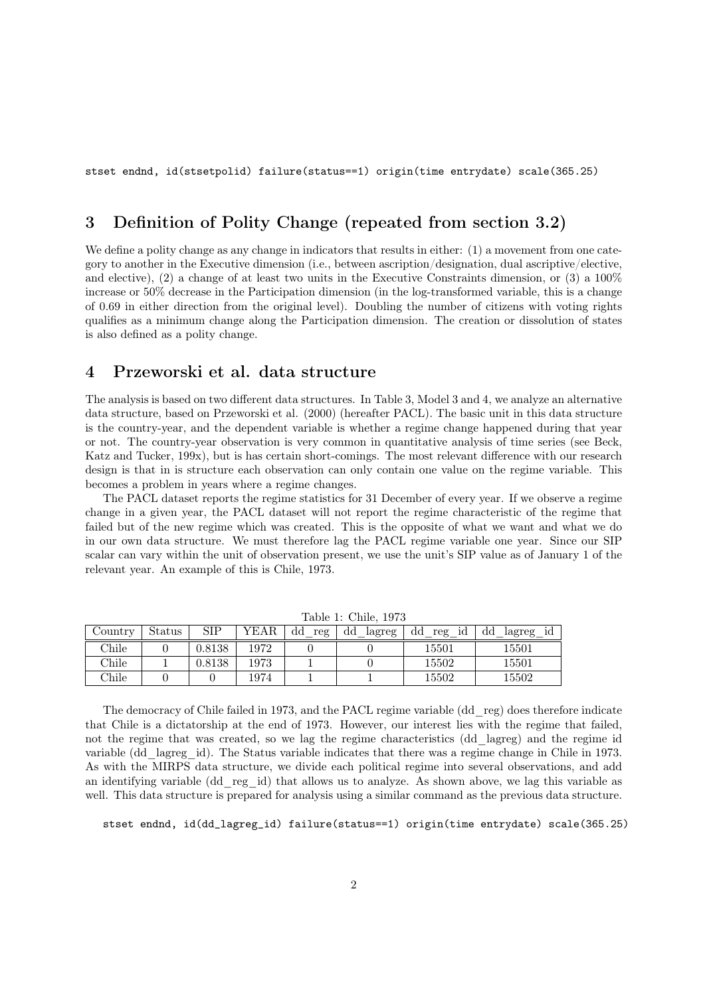stset endnd, id(stsetpolid) failure(status==1) origin(time entrydate) scale(365.25)

## 3 Definition of Polity Change (repeated from section 3.2)

We define a polity change as any change in indicators that results in either:  $(1)$  a movement from one category to another in the Executive dimension (i.e., between ascription/designation, dual ascriptive/elective, and elective), (2) a change of at least two units in the Executive Constraints dimension, or (3) a 100% increase or 50% decrease in the Participation dimension (in the log-transformed variable, this is a change of 0.69 in either direction from the original level). Doubling the number of citizens with voting rights qualifies as a minimum change along the Participation dimension. The creation or dissolution of states is also defined as a polity change.

## 4 Przeworski et al. data structure

The analysis is based on two different data structures. In Table 3, Model 3 and 4, we analyze an alternative data structure, based on Przeworski et al. (2000) (hereafter PACL). The basic unit in this data structure is the country-year, and the dependent variable is whether a regime change happened during that year or not. The country-year observation is very common in quantitative analysis of time series (see Beck, Katz and Tucker, 199x), but is has certain short-comings. The most relevant difference with our research design is that in is structure each observation can only contain one value on the regime variable. This becomes a problem in years where a regime changes.

The PACL dataset reports the regime statistics for 31 December of every year. If we observe a regime change in a given year, the PACL dataset will not report the regime characteristic of the regime that failed but of the new regime which was created. This is the opposite of what we want and what we do in our own data structure. We must therefore lag the PACL regime variable one year. Since our SIP scalar can vary within the unit of observation present, we use the unit's SIP value as of January 1 of the relevant year. An example of this is Chile, 1973.

|         | TAUIC I. CHIIC, IJTU |        |      |           |              |                          |                      |  |
|---------|----------------------|--------|------|-----------|--------------|--------------------------|----------------------|--|
| Country | Status               | SIP    | YEAR | dd<br>reg | dd<br>lagreg | $_{\rm dd}$<br>id<br>reg | dd<br>lagreg<br>- 1d |  |
| Chile   |                      | 0.8138 | 1972 |           |              | 15501                    | 15501                |  |
| Chile   |                      | 0.8138 | 1973 |           |              | 15502                    | 15501                |  |
| Chile   |                      |        | 1974 |           |              | 15502                    | 15502                |  |

Table 1: Chile, 1973

The democracy of Chile failed in 1973, and the PACL regime variable (dd\_reg) does therefore indicate that Chile is a dictatorship at the end of 1973. However, our interest lies with the regime that failed, not the regime that was created, so we lag the regime characteristics (dd\_lagreg) and the regime id variable (dd\_lagreg\_id). The Status variable indicates that there was a regime change in Chile in 1973. As with the MIRPS data structure, we divide each political regime into several observations, and add an identifying variable (dd\_reg\_id) that allows us to analyze. As shown above, we lag this variable as well. This data structure is prepared for analysis using a similar command as the previous data structure.

stset endnd, id(dd\_lagreg\_id) failure(status==1) origin(time entrydate) scale(365.25)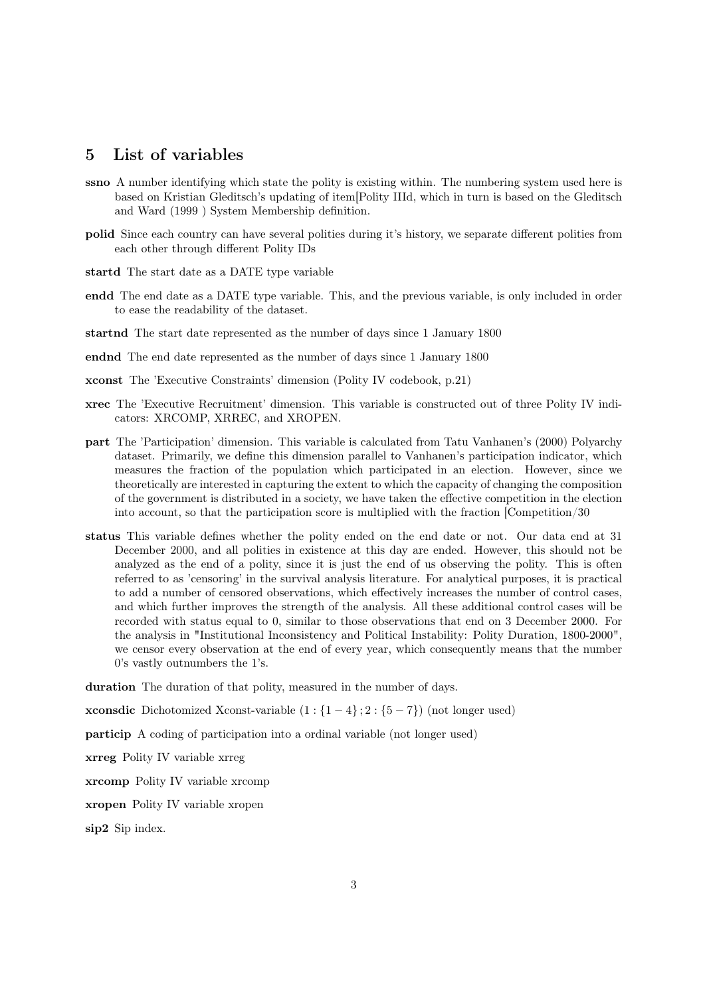## 5 List of variables

- ssno A number identifying which state the polity is existing within. The numbering system used here is based on Kristian Gleditsch's updating of item[Polity IIId, which in turn is based on the Gleditsch and Ward (1999 ) System Membership definition.
- polid Since each country can have several polities during it's history, we separate different polities from each other through different Polity IDs
- startd The start date as a DATE type variable
- endd The end date as a DATE type variable. This, and the previous variable, is only included in order to ease the readability of the dataset.
- startnd The start date represented as the number of days since 1 January 1800
- endnd The end date represented as the number of days since 1 January 1800
- xconst The 'Executive Constraints' dimension (Polity IV codebook, p.21)
- xrec The 'Executive Recruitment' dimension. This variable is constructed out of three Polity IV indicators: XRCOMP, XRREC, and XROPEN.
- part The 'Participation' dimension. This variable is calculated from Tatu Vanhanen's (2000) Polyarchy dataset. Primarily, we define this dimension parallel to Vanhanen's participation indicator, which measures the fraction of the population which participated in an election. However, since we theoretically are interested in capturing the extent to which the capacity of changing the composition of the government is distributed in a society, we have taken the effective competition in the election into account, so that the participation score is multiplied with the fraction [Competition/30
- status This variable defines whether the polity ended on the end date or not. Our data end at 31 December 2000, and all polities in existence at this day are ended. However, this should not be analyzed as the end of a polity, since it is just the end of us observing the polity. This is often referred to as 'censoring' in the survival analysis literature. For analytical purposes, it is practical to add a number of censored observations, which effectively increases the number of control cases, and which further improves the strength of the analysis. All these additional control cases will be recorded with status equal to 0, similar to those observations that end on 3 December 2000. For the analysis in "Institutional Inconsistency and Political Instability: Polity Duration, 1800-2000", we censor every observation at the end of every year, which consequently means that the number 0's vastly outnumbers the 1's.

duration The duration of that polity, measured in the number of days.

**xconsdic** Dichotomized Xconst-variable  $(1:\{1-4\}; 2:\{5-7\})$  (not longer used)

particip A coding of participation into a ordinal variable (not longer used)

xrreg Polity IV variable xrreg

xrcomp Polity IV variable xrcomp

xropen Polity IV variable xropen

sip2 Sip index.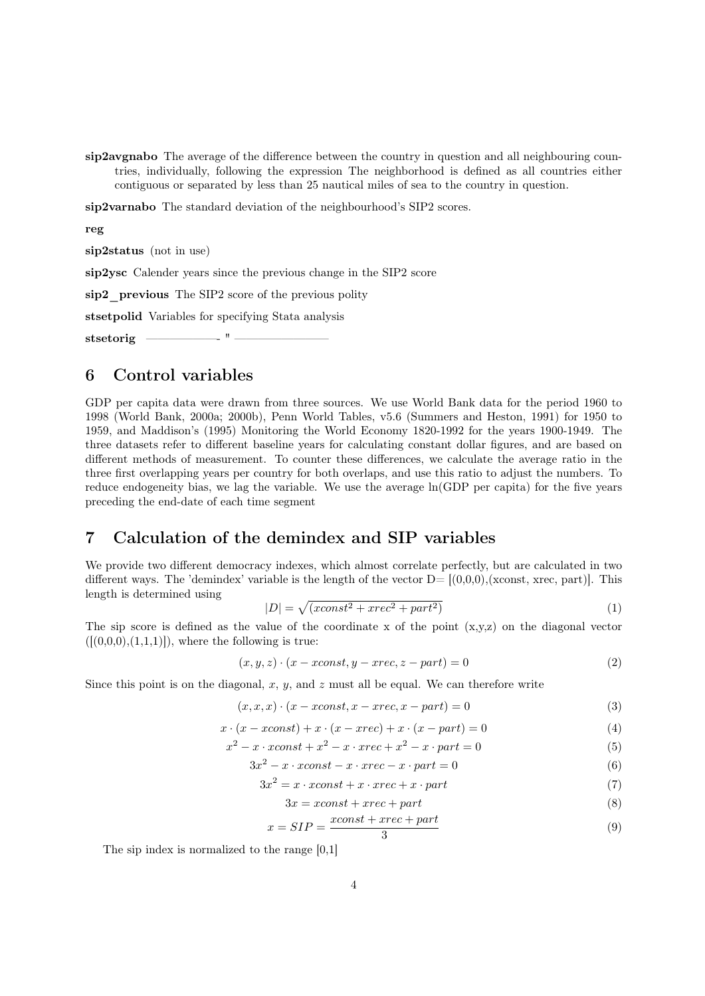sip2avgnabo The average of the difference between the country in question and all neighbouring countries, individually, following the expression The neighborhood is defined as all countries either contiguous or separated by less than 25 nautical miles of sea to the country in question.

sip2varnabo The standard deviation of the neighbourhood's SIP2 scores.

reg

sip2status (not in use)

sip2ysc Calender years since the previous change in the SIP2 score

sip2 previous The SIP2 score of the previous polity

stsetpolid Variables for specifying Stata analysis

stsetorig ——————- " ————————

### 6 Control variables

GDP per capita data were drawn from three sources. We use World Bank data for the period 1960 to 1998 (World Bank, 2000a; 2000b), Penn World Tables, v5.6 (Summers and Heston, 1991) for 1950 to 1959, and Maddison's (1995) Monitoring the World Economy 1820-1992 for the years 1900-1949. The three datasets refer to different baseline years for calculating constant dollar figures, and are based on different methods of measurement. To counter these differences, we calculate the average ratio in the three first overlapping years per country for both overlaps, and use this ratio to adjust the numbers. To reduce endogeneity bias, we lag the variable. We use the average ln(GDP per capita) for the five years preceding the end-date of each time segment

# 7 Calculation of the demindex and SIP variables

We provide two different democracy indexes, which almost correlate perfectly, but are calculated in two different ways. The 'demindex' variable is the length of the vector  $D=[(0,0,0),(\text{xconst}, \text{xrec}, \text{part})]$ . This length is determined using

$$
|D| = \sqrt{(xconst^2 + xrec^2 + part^2)}
$$
\n<sup>(1)</sup>

The sip score is defined as the value of the coordinate x of the point  $(x,y,z)$  on the diagonal vector  $([ (0,0,0), (1,1,1)]),$  where the following is true:

$$
(x, y, z) \cdot (x - xconst, y - xrec, z - part) = 0 \tag{2}
$$

Since this point is on the diagonal,  $x, y$ , and  $z$  must all be equal. We can therefore write

$$
(x, x, x) \cdot (x - x const, x - x rec, x - part) = 0 \tag{3}
$$

$$
x \cdot (x - x const) + x \cdot (x - x rec) + x \cdot (x - part) = 0 \tag{4}
$$

$$
x^{2} - x \cdot x const + x^{2} - x \cdot x rec + x^{2} - x \cdot part = 0
$$
\n
$$
(5)
$$

$$
3x^2 - x \cdot x const - x \cdot x rec - x \cdot part = 0 \tag{6}
$$

$$
3x^2 = x \cdot x const + x \cdot x rec + x \cdot part \tag{7}
$$

$$
3x = xconst + xrec + part
$$
\n<sup>(8)</sup>

$$
x = SIP = \frac{xconst + xrec + part}{3}
$$
\n<sup>(9)</sup>

The sip index is normalized to the range [0,1]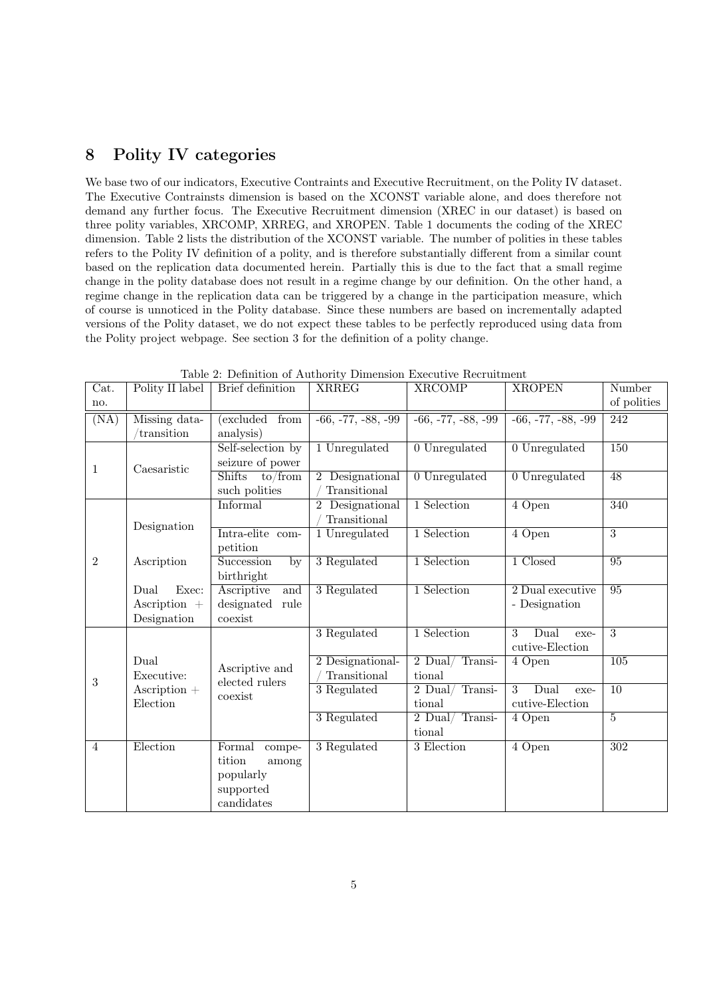## 8 Polity IV categories

We base two of our indicators, Executive Contraints and Executive Recruitment, on the Polity IV dataset. The Executive Contrainsts dimension is based on the XCONST variable alone, and does therefore not demand any further focus. The Executive Recruitment dimension (XREC in our dataset) is based on three polity variables, XRCOMP, XRREG, and XROPEN. Table 1 documents the coding of the XREC dimension. Table 2 lists the distribution of the XCONST variable. The number of polities in these tables refers to the Polity IV definition of a polity, and is therefore substantially different from a similar count based on the replication data documented herein. Partially this is due to the fact that a small regime change in the polity database does not result in a regime change by our definition. On the other hand, a regime change in the replication data can be triggered by a change in the participation measure, which of course is unnoticed in the Polity database. Since these numbers are based on incrementally adapted versions of the Polity dataset, we do not expect these tables to be perfectly reproduced using data from the Polity project webpage. See section 3 for the definition of a polity change.

| Cat.           | Polity II label                                               | Brief definition                                                            | <b>XRREG</b>                                 | <b>XRCOMP</b>              | <b>XROPEN</b>                        | Number           |
|----------------|---------------------------------------------------------------|-----------------------------------------------------------------------------|----------------------------------------------|----------------------------|--------------------------------------|------------------|
| no.            |                                                               |                                                                             |                                              |                            |                                      | of polities      |
| (NA)           | Missing data-<br>transition                                   | excluded<br>from<br>analysis)                                               | $-66, -77, -88, -99$                         | $-66, -77, -88, -99$       | $-66, -77, -88, -99$                 | 242              |
| 1              | Caesaristic                                                   | Self-selection by<br>seizure of power                                       | 1 Unregulated                                | 0 Unregulated              | 0 Unregulated                        | 150              |
|                |                                                               | to/from<br><b>Shifts</b><br>such polities                                   | Designational<br>$2^{\circ}$<br>Transitional | 0 Unregulated              | 0 Unregulated                        | 48               |
|                |                                                               | Informal                                                                    | 2 Designational<br>Transitional              | 1 Selection                | 4 Open                               | 340              |
|                | Designation                                                   | Intra-elite<br>com-<br>petition                                             | 1 Unregulated                                | 1 Selection                | 4 Open                               | $\overline{3}$   |
| $\overline{2}$ | Ascription                                                    | Succession<br>by<br>birthright                                              | 3 Regulated                                  | 1 Selection                | 1 Closed                             | 95               |
|                | Exec:<br>Dual<br>Ascription $+$<br>Designation                | Ascriptive<br>and<br>designated<br>rule<br>coexist                          | 3 Regulated                                  | 1 Selection                | 2 Dual executive<br>- Designation    | 95               |
|                |                                                               |                                                                             | 3 Regulated                                  | 1 Selection                | 3<br>Dual<br>exe-<br>cutive-Election | $\overline{3}$   |
| 3              | Dual<br>Executive:<br>$\text{A}{\rm scription} +$<br>Election | Ascriptive and<br>elected rulers                                            | 2 Designational-<br>Transitional             | 2 Dual/Transi-<br>tional   | 4 Open                               | $\overline{105}$ |
|                |                                                               | coexist                                                                     | 3 Regulated                                  | 2 Dual/Transi-<br>tional   | 3<br>Dual<br>exe-<br>cutive-Election | $\overline{10}$  |
|                |                                                               |                                                                             | 3 Regulated                                  | $2$ Dual/Transi-<br>tional | 4 Open                               | $\overline{5}$   |
| $\overline{4}$ | Election                                                      | Formal<br>compe-<br>tition<br>among<br>popularly<br>supported<br>candidates | 3 Regulated                                  | 3 Election                 | 4 Open                               | 302              |

Table 2: Definition of Authority Dimension Executive Recruitment